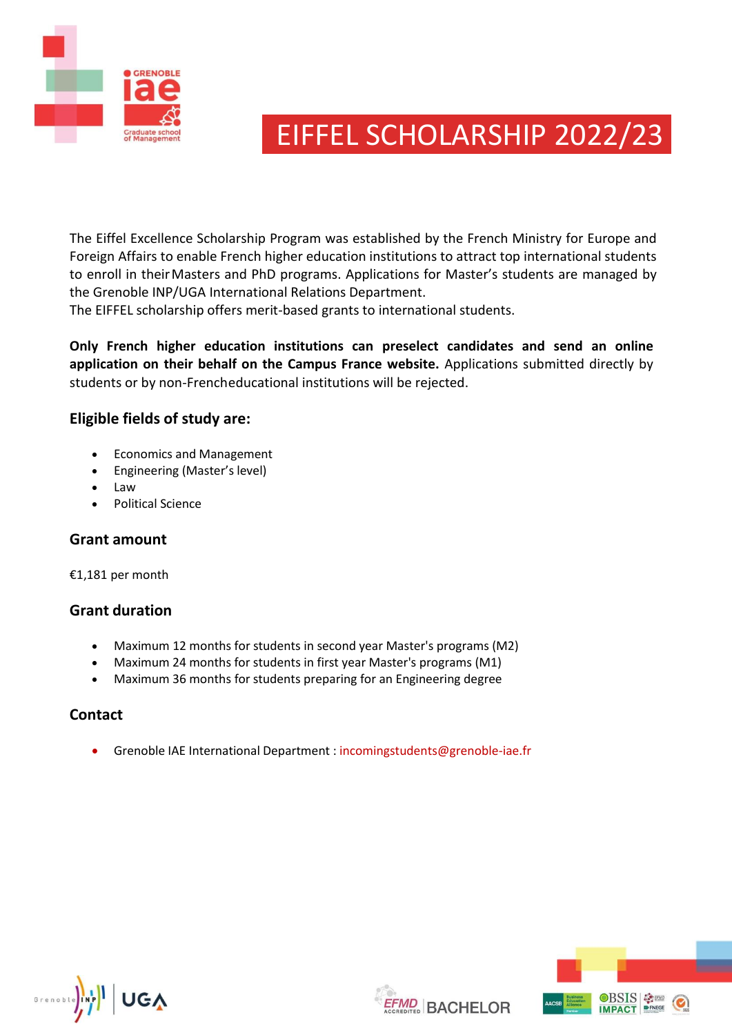

# EIFFEL SCHOLARSHIP 2022/23

The Eiffel Excellence Scholarship Program was established by the French Ministry for Europe and Foreign Affairs to enable French higher education institutions to attract top international students to enroll in their Masters and PhD programs. Applications for Master's students are managed by the Grenoble INP/UGA International Relations Department.

The EIFFEL scholarship offers merit-based grants to international students.

**Only French higher education institutions can preselect candidates and send an online application on their behalf on the Campus France website.** Applications submitted directly by students or by non-Frencheducational institutions will be rejected.

# **Eligible fields of study are:**

- Economics and Management
- Engineering (Master's level)
- Law
- Political Science

### **Grant amount**

€1,181 per month

### **Grant duration**

- Maximum 12 months for students in second year Master's programs (M2)
- Maximum 24 months for students in first year Master's programs (M1)
- Maximum 36 months for students preparing for an Engineering degree

# **Contact**

Grenoble IAE International Department : [incomingstudents@grenoble-iae.fr](mailto:incomingstudents@grenoble-iae.fr)